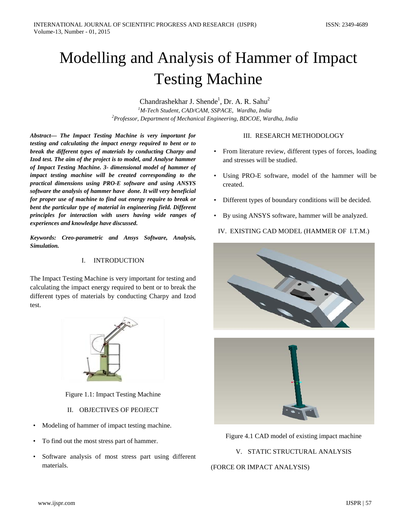# Modelling and Analysis of Hammer of Impact Testing Machine

Chandrashekhar J. Shende<sup>1</sup>, Dr. A. R. Sahu<sup>2</sup> *1 M-Tech Student, CAD/CAM, SSPACE, Wardha, India 2 Professor, Department of Mechanical Engineering, BDCOE, Wardha, India*

*Abstract— The Impact Testing Machine is very important for testing and calculating the impact energy required to bent or to break the different types of materials by conducting Charpy and Izod test. The aim of the project is to model, and Analyse hammer of Impact Testing Machine. 3- dimensional model of hammer of impact testing machine will be created corresponding to the practical dimensions using PRO-E software and using ANSYS software the analysis of hammer have done. It will very beneficial for proper use of machine to find out energy require to break or bent the particular type of material in engineering field. Different principles for interaction with users having wide ranges of experiences and knowledge have discussed.* 

*Keywords: Creo-parametric and Ansys Software, Analysis, Simulation.*

## I. INTRODUCTION

The Impact Testing Machine is very important for testing and calculating the impact energy required to bent or to break the different types of materials by conducting Charpy and Izod test.



Figure 1.1: Impact Testing Machine

- II. OBJECTIVES OF PEOJECT
- Modeling of hammer of impact testing machine.
- To find out the most stress part of hammer.
- Software analysis of most stress part using different materials.

## III. RESEARCH METHODOLOGY

- From literature review, different types of forces, loading and stresses will be studied.
- Using PRO-E software, model of the hammer will be created.
- Different types of boundary conditions will be decided.
- By using ANSYS software, hammer will be analyzed.
- IV. EXISTING CAD MODEL (HAMMER OF I.T.M.)





Figure 4.1 CAD model of existing impact machine

V. STATIC STRUCTURAL ANALYSIS

## (FORCE OR IMPACT ANALYSIS)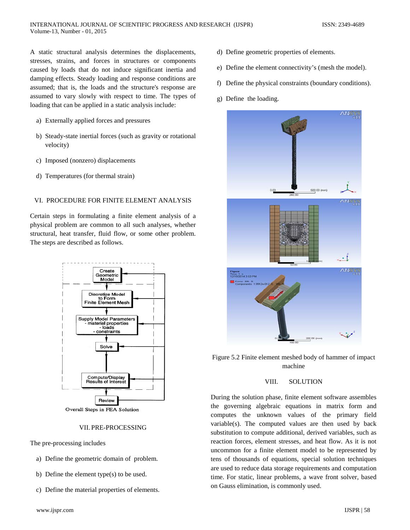A static structural analysis determines the displacements, stresses, strains, and forces in structures or components caused by loads that do not induce significant inertia and damping effects. Steady loading and response conditions are assumed; that is, the loads and the structure's response are assumed to vary slowly with respect to time. The types of loading that can be applied in a static analysis include:

- a) Externally applied forces and pressures
- b) Steady-state inertial forces (such as gravity or rotational velocity)
- c) Imposed (nonzero) displacements
- d) Temperatures (for thermal strain)

## VI. PROCEDURE FOR FINITE ELEMENT ANALYSIS

Certain steps in formulating a finite element analysis of a physical problem are common to all such analyses, whether structural, heat transfer, fluid flow, or some other problem. The steps are described as follows.



#### VII. PRE-PROCESSING

The pre-processing includes

- a) Define the geometric domain of problem.
- b) Define the element type(s) to be used.
- c) Define the material properties of elements.
- www.ijspr.com IJSPR | 58
- d) Define geometric properties of elements.
- e) Define the element connectivity's (mesh the model).
- f) Define the physical constraints (boundary conditions).
- g) Define the loading.



Figure 5.2 Finite element meshed body of hammer of impact machine

### VIII. SOLUTION

During the solution phase, finite element software assembles the governing algebraic equations in matrix form and computes the unknown values of the primary field variable(s). The computed values are then used by back substitution to compute additional, derived variables, such as reaction forces, element stresses, and heat flow. As it is not uncommon for a finite element model to be represented by tens of thousands of equations, special solution techniques are used to reduce data storage requirements and computation time. For static, linear problems, a wave front solver, based on Gauss elimination, is commonly used.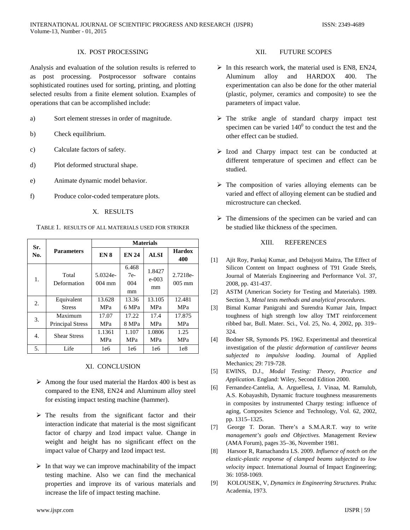## IX. POST PROCESSING

Analysis and evaluation of the solution results is referred to as post processing. Postprocessor software contains sophisticated routines used for sorting, printing, and plotting selected results from a finite element solution. Examples of operations that can be accomplished include:

- a) Sort element stresses in order of magnitude.
- b) Check equilibrium.
- c) Calculate factors of safety.
- d) Plot deformed structural shape.
- e) Animate dynamic model behavior.
- f) Produce color-coded temperature plots.

X. RESULTS

TABLE 1. RESULTS OF ALL MATERIALS USED FOR STRIKER

| Sr.<br>No. | <b>Parameters</b>                  | <b>Materials</b>             |                             |                           |                      |
|------------|------------------------------------|------------------------------|-----------------------------|---------------------------|----------------------|
|            |                                    | EN <sub>8</sub>              | <b>EN 24</b>                | <b>ALSI</b>               | <b>Hardox</b><br>400 |
| 1.         | Total<br>Deformation               | 5.0324e-<br>$004 \text{ mm}$ | 6.468<br>$7e-$<br>004<br>mm | 1.8427<br>$e - 003$<br>mm | 2.7218e-<br>$005$ mm |
| 2.         | Equivalent<br><b>Stress</b>        | 13.628<br><b>MPa</b>         | 13.36<br>6 MPa              | 13.105<br><b>MPa</b>      | 12.481<br><b>MPa</b> |
| 3.         | Maximum<br><b>Principal Stress</b> | 17.07<br><b>MPa</b>          | 17.22<br>8 MPa              | 17.4<br><b>MPa</b>        | 17.875<br><b>MPa</b> |
| 4.         | <b>Shear Stress</b>                | 1.1361<br><b>MPa</b>         | 1.107<br><b>MPa</b>         | 1.0806<br><b>MPa</b>      | 1.25<br><b>MPa</b>   |
| 5.         | Life                               | le6                          | 1e6                         | 1e6                       | 1e8                  |

## XI. CONCLUSION

- $\triangleright$  Among the four used material the Hardox 400 is best as compared to the EN8, EN24 and Aluminum alloy steel for existing impact testing machine (hammer).
- $\triangleright$  The results from the significant factor and their interaction indicate that material is the most significant factor of charpy and Izod impact value. Change in weight and height has no significant effect on the impact value of Charpy and Izod impact test.
- $\triangleright$  In that way we can improve machinability of the impact testing machine. Also we can find the mechanical properties and improve its of various materials and increase the life of impact testing machine.

## XII. FUTURE SCOPES

- $\triangleright$  In this research work, the material used is EN8, EN24, Aluminum alloy and HARDOX 400. The experimentation can also be done for the other material (plastic, polymer, ceramics and composite) to see the parameters of impact value.
- > The strike angle of standard charpy impact test specimen can be varied  $140^{\circ}$  to conduct the test and the other effect can be studied.
- $\triangleright$  Izod and Charpy impact test can be conducted at different temperature of specimen and effect can be studied.
- $\triangleright$  The composition of varies alloying elements can be varied and effect of alloying element can be studied and microstructure can checked.
- $\triangleright$  The dimensions of the specimen can be varied and can be studied like thickness of the specimen.

## XIII. REFERENCES

- [1] Ajit Roy, Pankaj Kumar, and Debajyoti Maitra, The Effect of Silicon Content on Impact oughness of T91 Grade Steels, Journal of Materials Engineering and Performance Vol. 37, 2008, pp. 431-437.
- [2] ASTM (American Society for Testing and Materials). 1989. Section 3*, Metal tests methods and analytical procedures.*
- [3] Bimal Kumar Panigrahi and Surendra Kumar Jain, Impact toughness of high strength low alloy TMT reinforcement ribbed bar, Bull. Mater. Sci., Vol. 25, No. 4, 2002, pp. 319– 324.
- [4] Bodner SR, Symonds PS. 1962. Experimental and theoretical investigation of the *plastic deformation of cantilever beams subjected to impulsive loading*. Journal of Applied Mechanics; 29: 719-728.
- [5] EWINS, D.J., *Modal Testing: Theory, Practice and Application*. England: Wiley, Second Edition 2000.
- [6] Fernandez-Cantelia, A. Arguellesa, J. Vinaa, M. Ramulub, A.S. Kobayashib, Dynamic fracture toughness measurements in composites by instrumented Charpy testing: influence of aging, Composites Science and Technology, Vol. 62, 2002, pp. 1315–1325.
- [7] George T. Doran. There's a S.M.A.R.T. way to write *management's goals and Objectives*. Management Review (AMA Forum), pages 35–36, November 1981.
- [8] Harsoor R, Ramachandra LS. 2009. *Influence of notch on the elastic-plastic response of clamped beams subjected to low velocity impact*. International Journal of Impact Engineering; 36: 1058-1069.
- [9] KOLOUSEK, V, *Dynamics in Engineering Structures*. Praha: Academia, 1973.